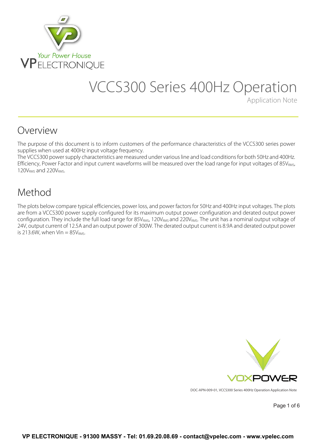

# VCCS300 Series 400Hz Operation

Application Note

### Overview

The purpose of this document is to inform customers of the performance characteristics of the VCCS300 series power supplies when used at 400Hz input voltage frequency.

The VCCS300 power supply characteristics are measured under various line and load conditions for both 50Hz and 400Hz. Efficiency, Power Factor and input current waveforms will be measured over the load range for input voltages of 85V<sub>RMS</sub>, 120V<sub>RMS</sub> and 220V<sub>RMS</sub>.

### Method

The plots below compare typical efficiencies, power loss, and power factors for 50Hz and 400Hz input voltages. The plots are from a VCCS300 power supply configured for its maximum output power configuration and derated output power configuration. They include the full load range for  $85V_{RMS}$ , 120 $V_{RMS}$  and 220 $V_{RMS}$ . The unit has a nominal output voltage of 24V, output current of 12.5A and an output power of 300W. The derated output current is 8.9A and derated output power is 213.6W, when Vin  $= 85V<sub>RMS</sub>$ .



DOC-APN-009-01, VCCS300 Series 400Hz Operation Application Note

Page 1 of 6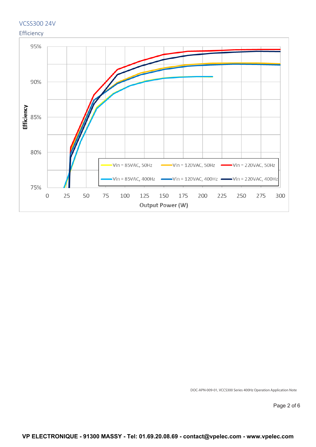

DOC-APN-009-01, VCCS300 Series 400Hz Operation Application Note

Page 2 of 6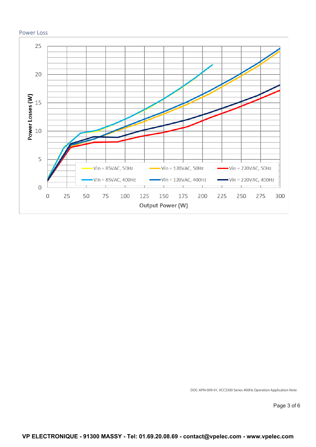

DOC-APN-009-01, VCCS300 Series 400Hz Operation Application Note

Page 3 of 6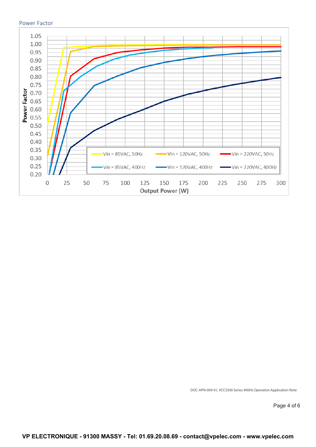#### Power Factor



DOC-APN-009-01, VCCS300 Series 400Hz Operation Application Note

Page 4 of 6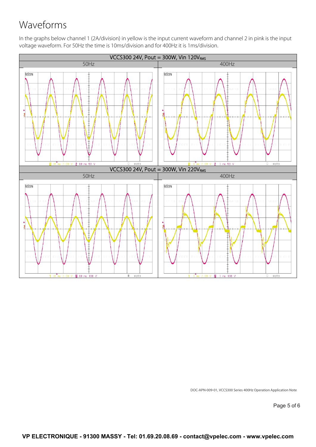# Waveforms

In the graphs below channel 1 (2A/division) in yellow is the input current waveform and channel 2 in pink is the input voltage waveform. For 50Hz the time is 10ms/division and for 400Hz it is 1ms/division.



DOC-APN-009-01, VCCS300 Series 400Hz Operation Application Note

Page 5 of 6